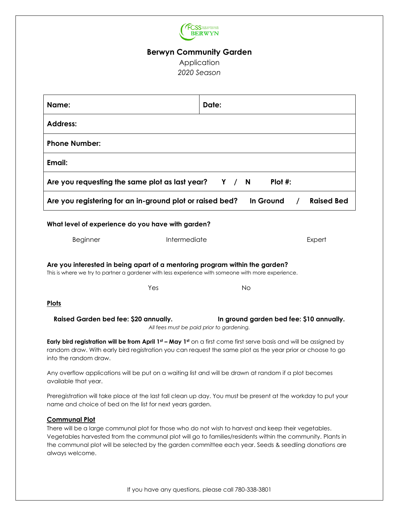

# **Berwyn Community Garden**

Application *2020 Season*

| Name:                                                                                                                                                                                                                                                                                                                                            | Date:  |
|--------------------------------------------------------------------------------------------------------------------------------------------------------------------------------------------------------------------------------------------------------------------------------------------------------------------------------------------------|--------|
| <b>Address:</b>                                                                                                                                                                                                                                                                                                                                  |        |
| <b>Phone Number:</b>                                                                                                                                                                                                                                                                                                                             |        |
| Email:                                                                                                                                                                                                                                                                                                                                           |        |
| $Plot$ #:<br>Are you requesting the same plot as last year?<br>Y /<br><b>N</b>                                                                                                                                                                                                                                                                   |        |
| Are you registering for an in-ground plot or raised bed?<br><b>Raised Bed</b><br>In Ground                                                                                                                                                                                                                                                       |        |
| What level of experience do you have with garden?                                                                                                                                                                                                                                                                                                |        |
| Intermediate<br><b>Beginner</b>                                                                                                                                                                                                                                                                                                                  | Expert |
| Are you interested in being apart of a mentoring program within the garden?<br>This is where we try to partner a gardener with less experience with someone with more experience.                                                                                                                                                                |        |
| Yes                                                                                                                                                                                                                                                                                                                                              | No     |
| <b>Plots</b>                                                                                                                                                                                                                                                                                                                                     |        |
| Raised Garden bed fee: \$20 annually.<br>In ground garden bed fee: \$10 annually.<br>All fees must be paid prior to gardening.                                                                                                                                                                                                                   |        |
| Early bird registration will be from April 1st - May 1st on a first come first serve basis and will be assigned by<br>random draw. With early bird registration you can request the same plot as the year prior or choose to go<br>into the random draw.                                                                                         |        |
| Any overflow applications will be put on a waiting list and will be drawn at random if a plot becomes<br>available that year.                                                                                                                                                                                                                    |        |
| Preregistration will take place at the last fall clean up day. You must be present at the workday to put your<br>name and choice of bed on the list for next years garden.                                                                                                                                                                       |        |
| <b>Communal Plot</b><br>There will be a large communal plot for those who do not wish to harvest and keep their vegetables.<br>Vegetables harvested from the communal plot will go to families/residents within the community. Plants in<br>the communal plot will be selected by the garden committee each year. Seeds & seedling donations are |        |

always welcome.